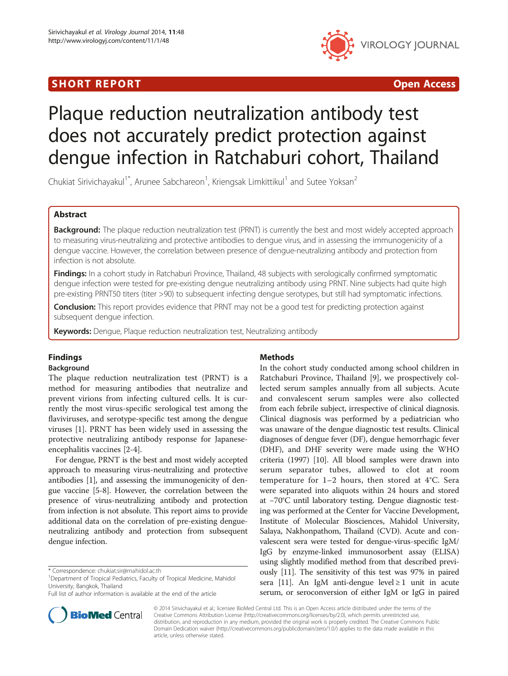## SHORT REPORT **The Contract of the Contract Open Access** (SHORT **Contract of the Contract Open Access**



# Plaque reduction neutralization antibody test does not accurately predict protection against dengue infection in Ratchaburi cohort, Thailand

Chukiat Sirivichayakul<sup>1\*</sup>, Arunee Sabchareon<sup>1</sup>, Kriengsak Limkittikul<sup>1</sup> and Sutee Yoksan<sup>2</sup>

## Abstract

Background: The plaque reduction neutralization test (PRNT) is currently the best and most widely accepted approach to measuring virus-neutralizing and protective antibodies to dengue virus, and in assessing the immunogenicity of a dengue vaccine. However, the correlation between presence of dengue-neutralizing antibody and protection from infection is not absolute.

Findings: In a cohort study in Ratchaburi Province, Thailand, 48 subjects with serologically confirmed symptomatic dengue infection were tested for pre-existing dengue neutralizing antibody using PRNT. Nine subjects had quite high pre-existing PRNT50 titers (titer >90) to subsequent infecting dengue serotypes, but still had symptomatic infections.

**Conclusion:** This report provides evidence that PRNT may not be a good test for predicting protection against subsequent dengue infection.

Keywords: Dengue, Plaque reduction neutralization test, Neutralizing antibody

## Findings

## Background

The plaque reduction neutralization test (PRNT) is a method for measuring antibodies that neutralize and prevent virions from infecting cultured cells. It is currently the most virus-specific serological test among the flaviviruses, and serotype-specific test among the dengue viruses [\[1](#page-4-0)]. PRNT has been widely used in assessing the protective neutralizing antibody response for Japaneseencephalitis vaccines [[2-4](#page-4-0)].

For dengue, PRNT is the best and most widely accepted approach to measuring virus-neutralizing and protective antibodies [\[1](#page-4-0)], and assessing the immunogenicity of dengue vaccine [[5-8](#page-4-0)]. However, the correlation between the presence of virus-neutralizing antibody and protection from infection is not absolute. This report aims to provide additional data on the correlation of pre-existing dengueneutralizing antibody and protection from subsequent dengue infection.

## Methods

In the cohort study conducted among school children in Ratchaburi Province, Thailand [[9\]](#page-4-0), we prospectively collected serum samples annually from all subjects. Acute and convalescent serum samples were also collected from each febrile subject, irrespective of clinical diagnosis. Clinical diagnosis was performed by a pediatrician who was unaware of the dengue diagnostic test results. Clinical diagnoses of dengue fever (DF), dengue hemorrhagic fever (DHF), and DHF severity were made using the WHO criteria (1997) [\[10](#page-4-0)]. All blood samples were drawn into serum separator tubes, allowed to clot at room temperature for 1–2 hours, then stored at 4°C. Sera were separated into aliquots within 24 hours and stored at −70°C until laboratory testing. Dengue diagnostic testing was performed at the Center for Vaccine Development, Institute of Molecular Biosciences, Mahidol University, Salaya, Nakhonpathom, Thailand (CVD). Acute and convalescent sera were tested for dengue-virus-specific IgM/ IgG by enzyme-linked immunosorbent assay (ELISA) using slightly modified method from that described previously [\[11](#page-4-0)]. The sensitivity of this test was 97% in paired sera [\[11](#page-4-0)]. An IgM anti-dengue level  $\geq 1$  unit in acute serum, or seroconversion of either IgM or IgG in paired



© 2014 Sirivichayakul et al.; licensee BioMed Central Ltd. This is an Open Access article distributed under the terms of the Creative Commons Attribution License (<http://creativecommons.org/licenses/by/2.0>), which permits unrestricted use, distribution, and reproduction in any medium, provided the original work is properly credited. The Creative Commons Public Domain Dedication waiver [\(http://creativecommons.org/publicdomain/zero/1.0/\)](http://creativecommons.org/publicdomain/zero/1.0/) applies to the data made available in this article, unless otherwise stated.

<sup>\*</sup> Correspondence: [chukiat.sir@mahidol.ac.th](mailto:chukiat.sir@mahidol.ac.th) <sup>1</sup>

<sup>&</sup>lt;sup>1</sup>Department of Tropical Pediatrics, Faculty of Tropical Medicine, Mahidol University, Bangkok, Thailand

Full list of author information is available at the end of the article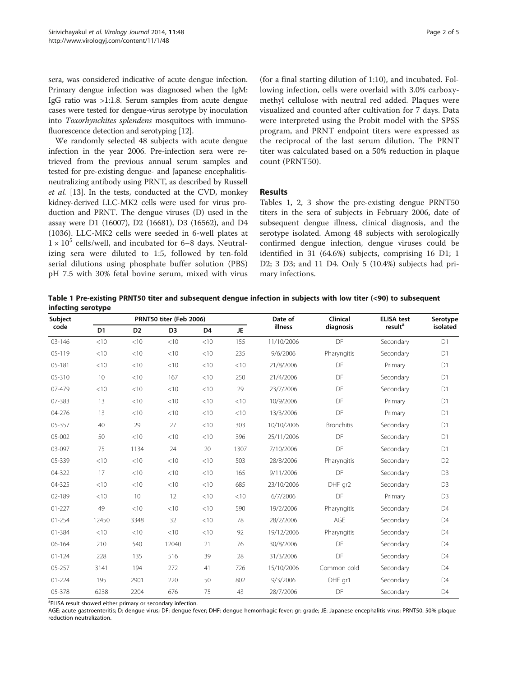<span id="page-1-0"></span>sera, was considered indicative of acute dengue infection. Primary dengue infection was diagnosed when the IgM: IgG ratio was >1:1.8. Serum samples from acute dengue cases were tested for dengue-virus serotype by inoculation into Toxorhynchites splendens mosquitoes with immunofluorescence detection and serotyping [\[12\]](#page-4-0).

We randomly selected 48 subjects with acute dengue infection in the year 2006. Pre-infection sera were retrieved from the previous annual serum samples and tested for pre-existing dengue- and Japanese encephalitisneutralizing antibody using PRNT, as described by Russell et al. [\[13\]](#page-4-0). In the tests, conducted at the CVD, monkey kidney-derived LLC-MK2 cells were used for virus production and PRNT. The dengue viruses (D) used in the assay were D1 (16007), D2 (16681), D3 (16562), and D4 (1036). LLC-MK2 cells were seeded in 6-well plates at  $1 \times 10^5$  cells/well, and incubated for 6–8 days. Neutralizing sera were diluted to 1:5, followed by ten-fold serial dilutions using phosphate buffer solution (PBS) pH 7.5 with 30% fetal bovine serum, mixed with virus

(for a final starting dilution of 1:10), and incubated. Following infection, cells were overlaid with 3.0% carboxymethyl cellulose with neutral red added. Plaques were visualized and counted after cultivation for 7 days. Data were interpreted using the Probit model with the SPSS program, and PRNT endpoint titers were expressed as the reciprocal of the last serum dilution. The PRNT titer was calculated based on a 50% reduction in plaque count (PRNT50).

#### Results

Tables 1, [2, 3](#page-2-0) show the pre-existing dengue PRNT50 titers in the sera of subjects in February 2006, date of subsequent dengue illness, clinical diagnosis, and the serotype isolated. Among 48 subjects with serologically confirmed dengue infection, dengue viruses could be identified in 31 (64.6%) subjects, comprising 16 D1; 1 D2; 3 D3; and 11 D4. Only 5 (10.4%) subjects had primary infections.

Table 1 Pre-existing PRNT50 titer and subsequent dengue infection in subjects with low titer (<90) to subsequent infecting serotype

| Subject<br>code |                |                | PRNT50 titer (Feb 2006) |                |           | Date of<br>illness | Clinical<br>diagnosis | <b>ELISA test</b><br>result <sup>a</sup> | Serotype<br>isolated |
|-----------------|----------------|----------------|-------------------------|----------------|-----------|--------------------|-----------------------|------------------------------------------|----------------------|
|                 | D <sub>1</sub> | D <sub>2</sub> | D <sub>3</sub>          | D <sub>4</sub> | <b>JE</b> |                    |                       |                                          |                      |
| $03 - 146$      | $<$ 10         | <10            | <10                     | < 10           | 155       | 11/10/2006         | DF                    | Secondary                                | D1                   |
| 05-119          | $<$ 10         | < 10           | < 10                    | < 10           | 235       | 9/6/2006           | Pharyngitis           | Secondary                                | D <sub>1</sub>       |
| $05 - 181$      | $<$ 10         | < 10           | < 10                    | < 10           | < 10      | 21/8/2006          | DF                    | Primary                                  | D <sub>1</sub>       |
| 05-310          | 10             | <10            | 167                     | < 10           | 250       | 21/4/2006          | DF                    | Secondary                                | D1                   |
| 07-479          | < 10           | <10            | <10                     | <10            | 29        | 23/7/2006          | DF                    | Secondary                                | D <sub>1</sub>       |
| 07-383          | 13             | <10            | < 10                    | <10            | $<$ 10    | 10/9/2006          | DF                    | Primary                                  | D <sub>1</sub>       |
| 04-276          | 13             | < 10           | < 10                    | <10            | <10       | 13/3/2006          | DF                    | Primary                                  | D <sub>1</sub>       |
| 05-357          | 40             | 29             | 27                      | < 10           | 303       | 10/10/2006         | <b>Bronchitis</b>     | Secondary                                | D <sub>1</sub>       |
| 05-002          | 50             | < 10           | < 10                    | < 10           | 396       | 25/11/2006         | DF                    | Secondary                                | D <sub>1</sub>       |
| 03-097          | 75             | 1134           | 24                      | 20             | 1307      | 7/10/2006          | DF                    | Secondary                                | D <sub>1</sub>       |
| 05-339          | $<$ 10         | <10            | < 10                    | < 10           | 503       | 28/8/2006          | Pharyngitis           | Secondary                                | D <sub>2</sub>       |
| 04-322          | 17             | <10            | <10                     | <10            | 165       | 9/11/2006          | DF                    | Secondary                                | D <sub>3</sub>       |
| 04-325          | < 10           | < 10           | < 10                    | < 10           | 685       | 23/10/2006         | DHF gr2               | Secondarv                                | D <sub>3</sub>       |
| 02-189          | $<$ 10         | 10             | 12                      | < 10           | < 10      | 6/7/2006           | DF                    | Primary                                  | D <sub>3</sub>       |
| $01 - 227$      | 49             | <10            | < 10                    | <10            | 590       | 19/2/2006          | Pharyngitis           | Secondary                                | D <sub>4</sub>       |
| $01 - 254$      | 12450          | 3348           | 32                      | <10            | 78        | 28/2/2006          | AGE                   | Secondary                                | D <sub>4</sub>       |
| 01-384          | < 10           | < 10           | < 10                    | < 10           | 92        | 19/12/2006         | Pharyngitis           | Secondary                                | D <sub>4</sub>       |
| 06-164          | 210            | 540            | 12040                   | 21             | 76        | 30/8/2006          | DF                    | Secondary                                | D <sub>4</sub>       |
| $01 - 124$      | 228            | 135            | 516                     | 39             | 28        | 31/3/2006          | DF                    | Secondary                                | D <sub>4</sub>       |
| 05-257          | 3141           | 194            | 272                     | 41             | 726       | 15/10/2006         | Common cold           | Secondary                                | D <sub>4</sub>       |
| $01 - 224$      | 195            | 2901           | 220                     | 50             | 802       | 9/3/2006           | DHF gr1               | Secondary                                | D <sub>4</sub>       |
| 05-378          | 6238           | 2204           | 676                     | 75             | 43        | 28/7/2006          | DF                    | Secondary                                | D <sub>4</sub>       |

<sup>a</sup>ELISA result showed either primary or secondary infection.

AGE: acute gastroenteritis; D: dengue virus; DF: dengue fever; DHF: dengue hemorrhagic fever; gr: grade; JE: Japanese encephalitis virus; PRNT50: 50% plaque reduction neutralization.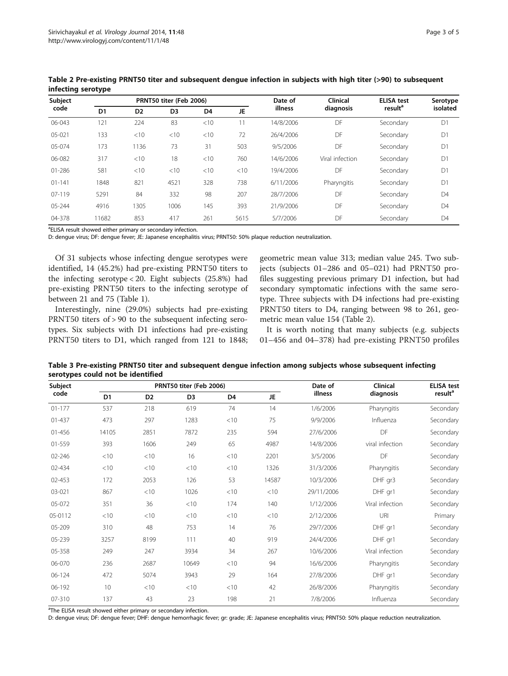| Subject<br>code |                |                | PRNT50 titer (Feb 2006) |                |      | Date of<br>illness | <b>Clinical</b> | <b>ELISA test</b><br>result <sup>a</sup> | Serotype<br>isolated |
|-----------------|----------------|----------------|-------------------------|----------------|------|--------------------|-----------------|------------------------------------------|----------------------|
|                 | D <sub>1</sub> | D <sub>2</sub> | D <sub>3</sub>          | D <sub>4</sub> | JE   |                    | diagnosis       |                                          |                      |
| 06-043          | 121            | 224            | 83                      | <10            | 11   | 14/8/2006          | DF              | Secondary                                | D1                   |
| 05-021          | 133            | <10            | <10                     | <10            | 72   | 26/4/2006          | DF              | Secondary                                | D <sub>1</sub>       |
| 05-074          | 173            | 1136           | 73                      | 31             | 503  | 9/5/2006           | DF              | Secondary                                | D1                   |
| 06-082          | 317            | $<$ 10         | 18                      | <10            | 760  | 14/6/2006          | Viral infection | Secondary                                | D <sub>1</sub>       |
| $01 - 286$      | 581            | <10            | $<$ 10                  | <10            | <10  | 19/4/2006          | DF              | Secondary                                | D1                   |
| $01 - 141$      | 1848           | 821            | 4521                    | 328            | 738  | 6/11/2006          | Pharyngitis     | Secondary                                | D <sub>1</sub>       |
| $07-119$        | 5291           | 84             | 332                     | 98             | 207  | 28/7/2006          | DF              | Secondary                                | D <sub>4</sub>       |
| 05-244          | 4916           | 1305           | 1006                    | 145            | 393  | 21/9/2006          | DF              | Secondary                                | D <sub>4</sub>       |
| 04-378          | 11682          | 853            | 417                     | 261            | 5615 | 5/7/2006           | DF              | Secondary                                | D <sub>4</sub>       |

<span id="page-2-0"></span>Table 2 Pre-existing PRNT50 titer and subsequent dengue infection in subjects with high titer (>90) to subsequent infecting serotype

<sup>a</sup>ELISA result showed either primary or secondary infection.

D: dengue virus; DF: dengue fever; JE: Japanese encephalitis virus; PRNT50: 50% plaque reduction neutralization.

Of 31 subjects whose infecting dengue serotypes were identified, 14 (45.2%) had pre-existing PRNT50 titers to the infecting serotype < 20. Eight subjects (25.8%) had pre-existing PRNT50 titers to the infecting serotype of between 21 and 75 (Table [1](#page-1-0)).

Interestingly, nine (29.0%) subjects had pre-existing PRNT50 titers of > 90 to the subsequent infecting serotypes. Six subjects with D1 infections had pre-existing PRNT50 titers to D1, which ranged from 121 to 1848; geometric mean value 313; median value 245. Two subjects (subjects 01–286 and 05–021) had PRNT50 profiles suggesting previous primary D1 infection, but had secondary symptomatic infections with the same serotype. Three subjects with D4 infections had pre-existing PRNT50 titers to D4, ranging between 98 to 261, geometric mean value 154 (Table 2).

It is worth noting that many subjects (e.g. subjects 01–456 and 04–378) had pre-existing PRNT50 profiles

Table 3 Pre-existing PRNT50 titer and subsequent dengue infection among subjects whose subsequent infecting serotypes could not be identified

| Subject<br>code |                |                | PRNT50 titer (Feb 2006) |                | Date of | <b>Clinical</b> | <b>ELISA test</b> |                     |
|-----------------|----------------|----------------|-------------------------|----------------|---------|-----------------|-------------------|---------------------|
|                 | D <sub>1</sub> | D <sub>2</sub> | D <sub>3</sub>          | D <sub>4</sub> | JE      | illness         | diagnosis         | result <sup>a</sup> |
| $01 - 177$      | 537            | 218            | 619                     | 74             | 14      | 1/6/2006        | Pharyngitis       | Secondary           |
| 01-437          | 473            | 297            | 1283                    | < 10           | 75      | 9/9/2006        | Influenza         | Secondary           |
| 01-456          | 14105          | 2851           | 7872                    | 235            | 594     | 27/6/2006       | DF                | Secondary           |
| 01-559          | 393            | 1606           | 249                     | 65             | 4987    | 14/8/2006       | viral infection   | Secondary           |
| 02-246          | < 10           | < 10           | 16                      | < 10           | 2201    | 3/5/2006        | DF                | Secondary           |
| 02-434          | < 10           | < 10           | < 10                    | < 10           | 1326    | 31/3/2006       | Pharyngitis       | Secondary           |
| 02-453          | 172            | 2053           | 126                     | 53             | 14587   | 10/3/2006       | DHF gr3           | Secondary           |
| 03-021          | 867            | < 10           | 1026                    | < 10           | <10     | 29/11/2006      | DHF gr1           | Secondary           |
| 05-072          | 351            | 36             | <10                     | 174            | 140     | 1/12/2006       | Viral infection   | Secondary           |
| 05-0112         | < 10           | < 10           | < 10                    | < 10           | < 10    | 2/12/2006       | URI               | Primary             |
| $05 - 209$      | 310            | 48             | 753                     | 14             | 76      | 29/7/2006       | DHF gr1           | Secondary           |
| 05-239          | 3257           | 8199           | 111                     | 40             | 919     | 24/4/2006       | DHF gr1           | Secondary           |
| 05-358          | 249            | 247            | 3934                    | 34             | 267     | 10/6/2006       | Viral infection   | Secondary           |
| 06-070          | 236            | 2687           | 10649                   | < 10           | 94      | 16/6/2006       | Pharyngitis       | Secondary           |
| 06-124          | 472            | 5074           | 3943                    | 29             | 164     | 27/8/2006       | DHF gr1           | Secondary           |
| $06 - 192$      | 10             | < 10           | < 10                    | < 10           | 42      | 26/8/2006       | Pharyngitis       | Secondary           |
| $07 - 310$      | 137            | 43             | 23                      | 198            | 21      | 7/8/2006        | Influenza         | Secondary           |

<sup>a</sup>The ELISA result showed either primary or secondary infection.

D: dengue virus; DF: dengue fever; DHF: dengue hemorrhagic fever; gr: grade; JE: Japanese encephalitis virus; PRNT50: 50% plaque reduction neutralization.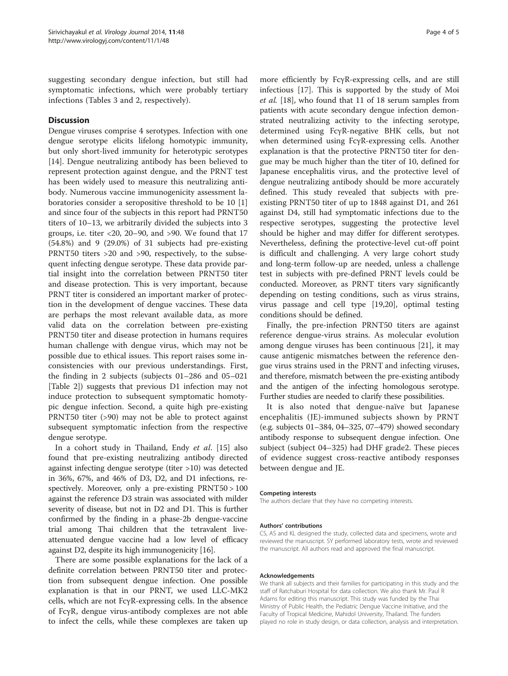suggesting secondary dengue infection, but still had symptomatic infections, which were probably tertiary infections (Tables [3](#page-2-0) and [2](#page-2-0), respectively).

## **Discussion**

Dengue viruses comprise 4 serotypes. Infection with one dengue serotype elicits lifelong homotypic immunity, but only short-lived immunity for heterotypic serotypes [[14\]](#page-4-0). Dengue neutralizing antibody has been believed to represent protection against dengue, and the PRNT test has been widely used to measure this neutralizing antibody. Numerous vaccine immunogenicity assessment laboratories consider a seropositive threshold to be 10 [\[1](#page-4-0)] and since four of the subjects in this report had PRNT50 titers of 10–13, we arbitrarily divided the subjects into 3 groups, i.e. titer  $<$  20, 20–90, and >90. We found that 17 (54.8%) and 9 (29.0%) of 31 subjects had pre-existing PRNT50 titers >20 and >90, respectively, to the subsequent infecting dengue serotype. These data provide partial insight into the correlation between PRNT50 titer and disease protection. This is very important, because PRNT titer is considered an important marker of protection in the development of dengue vaccines. These data are perhaps the most relevant available data, as more valid data on the correlation between pre-existing PRNT50 titer and disease protection in humans requires human challenge with dengue virus, which may not be possible due to ethical issues. This report raises some inconsistencies with our previous understandings. First, the finding in 2 subjects (subjects 01–286 and 05–021 [Table [2](#page-2-0)]) suggests that previous D1 infection may not induce protection to subsequent symptomatic homotypic dengue infection. Second, a quite high pre-existing PRNT50 titer (>90) may not be able to protect against subsequent symptomatic infection from the respective dengue serotype.

In a cohort study in Thailand, Endy et al. [[15\]](#page-4-0) also found that pre-existing neutralizing antibody directed against infecting dengue serotype (titer >10) was detected in 36%, 67%, and 46% of D3, D2, and D1 infections, respectively. Moreover, only a pre-existing PRNT50 > 100 against the reference D3 strain was associated with milder severity of disease, but not in D2 and D1. This is further confirmed by the finding in a phase-2b dengue-vaccine trial among Thai children that the tetravalent liveattenuated dengue vaccine had a low level of efficacy against D2, despite its high immunogenicity [\[16](#page-4-0)].

There are some possible explanations for the lack of a definite correlation between PRNT50 titer and protection from subsequent dengue infection. One possible explanation is that in our PRNT, we used LLC-MK2 cells, which are not FcγR-expressing cells. In the absence of FcγR, dengue virus-antibody complexes are not able to infect the cells, while these complexes are taken up more efficiently by FcγR-expressing cells, and are still infectious [\[17\]](#page-4-0). This is supported by the study of Moi et al. [[18\]](#page-4-0), who found that 11 of 18 serum samples from patients with acute secondary dengue infection demonstrated neutralizing activity to the infecting serotype, determined using FcγR-negative BHK cells, but not when determined using FcγR-expressing cells. Another explanation is that the protective PRNT50 titer for dengue may be much higher than the titer of 10, defined for Japanese encephalitis virus, and the protective level of dengue neutralizing antibody should be more accurately defined. This study revealed that subjects with preexisting PRNT50 titer of up to 1848 against D1, and 261 against D4, still had symptomatic infections due to the respective serotypes, suggesting the protective level should be higher and may differ for different serotypes. Nevertheless, defining the protective-level cut-off point is difficult and challenging. A very large cohort study and long-term follow-up are needed, unless a challenge test in subjects with pre-defined PRNT levels could be conducted. Moreover, as PRNT titers vary significantly depending on testing conditions, such as virus strains, virus passage and cell type [\[19,20\]](#page-4-0), optimal testing conditions should be defined.

Finally, the pre-infection PRNT50 titers are against reference dengue-virus strains. As molecular evolution among dengue viruses has been continuous [[21](#page-4-0)], it may cause antigenic mismatches between the reference dengue virus strains used in the PRNT and infecting viruses, and therefore, mismatch between the pre-existing antibody and the antigen of the infecting homologous serotype. Further studies are needed to clarify these possibilities.

It is also noted that dengue-naïve but Japanese encephalitis (JE)-immuned subjects shown by PRNT (e.g. subjects 01–384, 04–325, 07–479) showed secondary antibody response to subsequent dengue infection. One subject (subject 04–325) had DHF grade2. These pieces of evidence suggest cross-reactive antibody responses between dengue and JE.

#### Competing interests

The authors declare that they have no competing interests.

#### Authors' contributions

CS, AS and KL designed the study, collected data and specimens, wrote and reviewed the manuscript. SY performed laboratory tests, wrote and reviewed the manuscript. All authors read and approved the final manuscript.

#### Acknowledgements

We thank all subjects and their families for participating in this study and the staff of Ratchaburi Hospital for data collection. We also thank Mr. Paul R Adams for editing this manuscript. This study was funded by the Thai Ministry of Public Health, the Pediatric Dengue Vaccine Initiative, and the Faculty of Tropical Medicine, Mahidol University, Thailand. The funders played no role in study design, or data collection, analysis and interpretation.